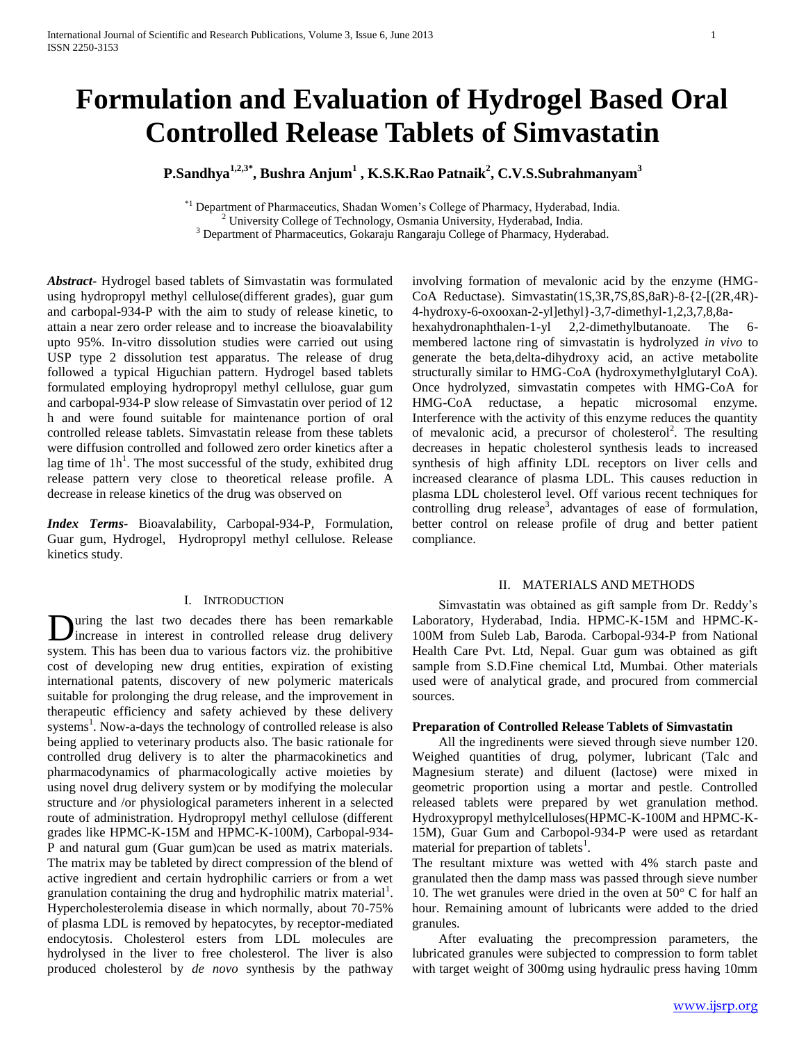# **Formulation and Evaluation of Hydrogel Based Oral Controlled Release Tablets of Simvastatin**

**P.Sandhya1,2,3\*, Bushra Anjum<sup>1</sup> , K.S.K.Rao Patnaik<sup>2</sup> , C.V.S.Subrahmanyam<sup>3</sup>**

\*1 Department of Pharmaceutics, Shadan Women's College of Pharmacy, Hyderabad, India. <sup>2</sup> University College of Technology, Osmania University, Hyderabad, India.

<sup>3</sup> Department of Pharmaceutics, Gokaraju Rangaraju College of Pharmacy, Hyderabad.

*Abstract***-** Hydrogel based tablets of Simvastatin was formulated using hydropropyl methyl cellulose(different grades), guar gum and carbopal-934-P with the aim to study of release kinetic, to attain a near zero order release and to increase the bioavalability upto 95%. In-vitro dissolution studies were carried out using USP type 2 dissolution test apparatus. The release of drug followed a typical Higuchian pattern. Hydrogel based tablets formulated employing hydropropyl methyl cellulose, guar gum and carbopal-934-P slow release of Simvastatin over period of 12 h and were found suitable for maintenance portion of oral controlled release tablets. Simvastatin release from these tablets were diffusion controlled and followed zero order kinetics after a lag time of  $1h<sup>1</sup>$ . The most successful of the study, exhibited drug release pattern very close to theoretical release profile. A decrease in release kinetics of the drug was observed on

*Index Terms*- Bioavalability, Carbopal-934-P, Formulation, Guar gum, Hydrogel, Hydropropyl methyl cellulose. Release kinetics study.

# I. INTRODUCTION

uring the last two decades there has been remarkable increase in interest in controlled release drug delivery **D**uring the last two decades there has been remarkable increase in interest in controlled release drug delivery system. This has been dua to various factors viz. the prohibitive cost of developing new drug entities, expiration of existing international patents, discovery of new polymeric matericals suitable for prolonging the drug release, and the improvement in therapeutic efficiency and safety achieved by these delivery systems<sup>1</sup>. Now-a-days the technology of controlled release is also being applied to veterinary products also. The basic rationale for controlled drug delivery is to alter the pharmacokinetics and pharmacodynamics of pharmacologically active moieties by using novel drug delivery system or by modifying the molecular structure and /or physiological parameters inherent in a selected route of administration. Hydropropyl methyl cellulose (different grades like HPMC-K-15M and HPMC-K-100M), Carbopal-934- P and natural gum (Guar gum)can be used as matrix materials. The matrix may be tableted by direct compression of the blend of active ingredient and certain hydrophilic carriers or from a wet granulation containing the drug and hydrophilic matrix material<sup>1</sup>. Hypercholesterolemia disease in which normally, about 70-75% of plasma LDL is removed by hepatocytes, by receptor-mediated endocytosis. Cholesterol esters from LDL molecules are hydrolysed in the liver to free cholesterol. The liver is also produced cholesterol by *de novo* synthesis by the pathway

involving formation of mevalonic acid by the enzyme (HMG-CoA Reductase). Simvastatin(1S,3R,7S,8S,8aR)-8-{2-[(2R,4R)- 4-hydroxy-6-oxooxan-2-yl]ethyl}-3,7-dimethyl-1,2,3,7,8,8ahexahydronaphthalen-1-yl 2,2-dimethylbutanoate. The 6 membered lactone ring of simvastatin is hydrolyzed *in vivo* to generate the beta,delta-dihydroxy acid, an active metabolite structurally similar to HMG-CoA (hydroxymethylglutaryl CoA). Once hydrolyzed, simvastatin competes with HMG-CoA for HMG-CoA reductase, a hepatic microsomal enzyme. Interference with the activity of this enzyme reduces the quantity of mevalonic acid, a precursor of cholesterol<sup>2</sup>. The resulting decreases in hepatic cholesterol synthesis leads to increased synthesis of high affinity LDL receptors on liver cells and increased clearance of plasma LDL. This causes reduction in plasma LDL cholesterol level. Off various recent techniques for controlling drug release<sup>3</sup>, advantages of ease of formulation, better control on release profile of drug and better patient compliance.

## II. MATERIALS AND METHODS

 Simvastatin was obtained as gift sample from Dr. Reddy's Laboratory, Hyderabad, India. HPMC-K-15M and HPMC-K-100M from Suleb Lab, Baroda. Carbopal-934-P from National Health Care Pvt. Ltd, Nepal. Guar gum was obtained as gift sample from S.D.Fine chemical Ltd, Mumbai. Other materials used were of analytical grade, and procured from commercial sources.

# **Preparation of Controlled Release Tablets of Simvastatin**

 All the ingredinents were sieved through sieve number 120. Weighed quantities of drug, polymer, lubricant (Talc and Magnesium sterate) and diluent (lactose) were mixed in geometric proportion using a mortar and pestle. Controlled released tablets were prepared by wet granulation method. Hydroxypropyl methylcelluloses(HPMC-K-100M and HPMC-K-15M), Guar Gum and Carbopol-934-P were used as retardant material for prepartion of tablets<sup>1</sup>.

The resultant mixture was wetted with 4% starch paste and granulated then the damp mass was passed through sieve number 10. The wet granules were dried in the oven at  $50^{\circ}$  C for half an hour. Remaining amount of lubricants were added to the dried granules.

 After evaluating the precompression parameters, the lubricated granules were subjected to compression to form tablet with target weight of 300mg using hydraulic press having 10mm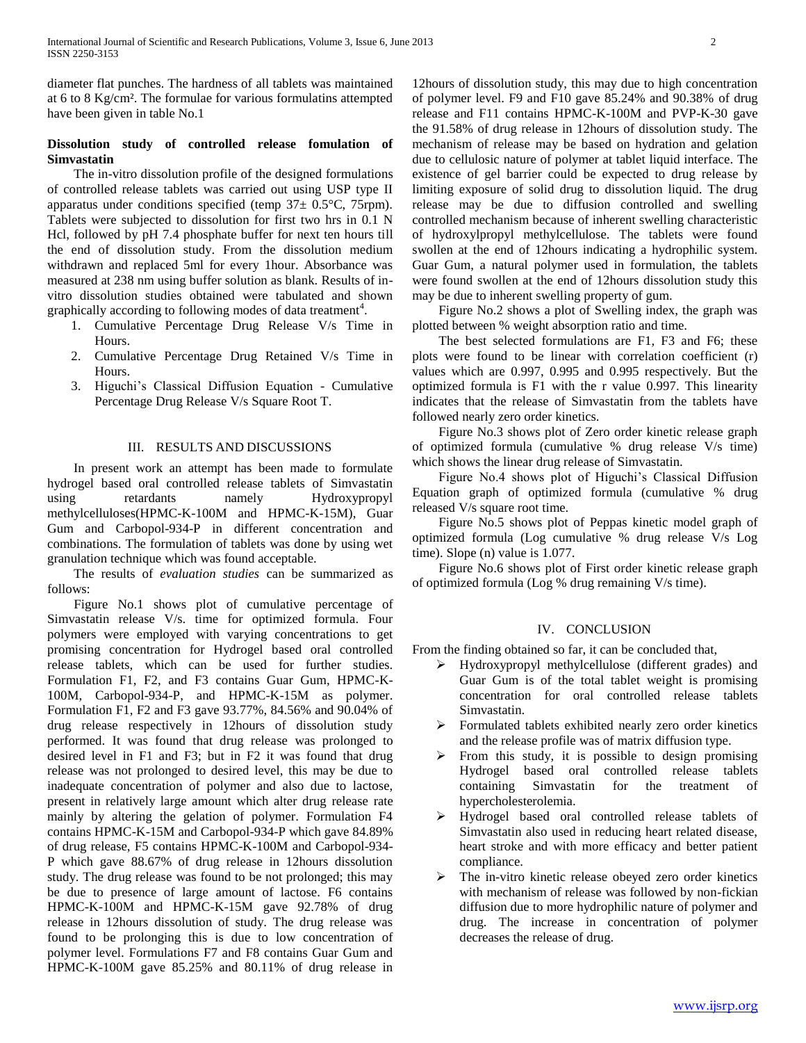diameter flat punches. The hardness of all tablets was maintained at 6 to 8 Kg/cm². The formulae for various formulatins attempted have been given in table No.1

# **Dissolution study of controlled release fomulation of Simvastatin**

 The in-vitro dissolution profile of the designed formulations of controlled release tablets was carried out using USP type II apparatus under conditions specified (temp  $37\pm 0.5^{\circ}$ C, 75rpm). Tablets were subjected to dissolution for first two hrs in 0.1 N Hcl, followed by pH 7.4 phosphate buffer for next ten hours till the end of dissolution study. From the dissolution medium withdrawn and replaced 5ml for every 1hour. Absorbance was measured at 238 nm using buffer solution as blank. Results of invitro dissolution studies obtained were tabulated and shown graphically according to following modes of data treatment<sup>4</sup>.

- 1. Cumulative Percentage Drug Release V/s Time in Hours.
- 2. Cumulative Percentage Drug Retained V/s Time in Hours.
- 3. Higuchi's Classical Diffusion Equation Cumulative Percentage Drug Release V/s Square Root T.

# III. RESULTS AND DISCUSSIONS

 In present work an attempt has been made to formulate hydrogel based oral controlled release tablets of Simvastatin using retardants namely Hydroxypropyl methylcelluloses(HPMC-K-100M and HPMC-K-15M), Guar Gum and Carbopol-934-P in different concentration and combinations. The formulation of tablets was done by using wet granulation technique which was found acceptable.

 The results of *evaluation studies* can be summarized as follows:

 Figure No.1 shows plot of cumulative percentage of Simvastatin release V/s. time for optimized formula. Four polymers were employed with varying concentrations to get promising concentration for Hydrogel based oral controlled release tablets, which can be used for further studies. Formulation F1, F2, and F3 contains Guar Gum, HPMC-K-100M, Carbopol-934-P, and HPMC-K-15M as polymer. Formulation F1, F2 and F3 gave 93.77%, 84.56% and 90.04% of drug release respectively in 12hours of dissolution study performed. It was found that drug release was prolonged to desired level in F1 and F3; but in F2 it was found that drug release was not prolonged to desired level, this may be due to inadequate concentration of polymer and also due to lactose, present in relatively large amount which alter drug release rate mainly by altering the gelation of polymer. Formulation F4 contains HPMC-K-15M and Carbopol-934-P which gave 84.89% of drug release, F5 contains HPMC-K-100M and Carbopol-934- P which gave 88.67% of drug release in 12hours dissolution study. The drug release was found to be not prolonged; this may be due to presence of large amount of lactose. F6 contains HPMC-K-100M and HPMC-K-15M gave 92.78% of drug release in 12hours dissolution of study. The drug release was found to be prolonging this is due to low concentration of polymer level. Formulations F7 and F8 contains Guar Gum and HPMC-K-100M gave 85.25% and 80.11% of drug release in

12hours of dissolution study, this may due to high concentration of polymer level. F9 and F10 gave 85.24% and 90.38% of drug release and F11 contains HPMC-K-100M and PVP-K-30 gave the 91.58% of drug release in 12hours of dissolution study. The mechanism of release may be based on hydration and gelation due to cellulosic nature of polymer at tablet liquid interface. The existence of gel barrier could be expected to drug release by limiting exposure of solid drug to dissolution liquid. The drug release may be due to diffusion controlled and swelling controlled mechanism because of inherent swelling characteristic of hydroxylpropyl methylcellulose. The tablets were found swollen at the end of 12hours indicating a hydrophilic system. Guar Gum, a natural polymer used in formulation, the tablets were found swollen at the end of 12hours dissolution study this may be due to inherent swelling property of gum.

 Figure No.2 shows a plot of Swelling index, the graph was plotted between % weight absorption ratio and time.

 The best selected formulations are F1, F3 and F6; these plots were found to be linear with correlation coefficient (r) values which are 0.997, 0.995 and 0.995 respectively. But the optimized formula is F1 with the r value 0.997. This linearity indicates that the release of Simvastatin from the tablets have followed nearly zero order kinetics.

 Figure No.3 shows plot of Zero order kinetic release graph of optimized formula (cumulative % drug release V/s time) which shows the linear drug release of Simvastatin.

 Figure No.4 shows plot of Higuchi's Classical Diffusion Equation graph of optimized formula (cumulative % drug released V/s square root time.

 Figure No.5 shows plot of Peppas kinetic model graph of optimized formula (Log cumulative % drug release V/s Log time). Slope (n) value is 1.077.

 Figure No.6 shows plot of First order kinetic release graph of optimized formula (Log % drug remaining V/s time).

# IV. CONCLUSION

From the finding obtained so far, it can be concluded that,

- Hydroxypropyl methylcellulose (different grades) and Guar Gum is of the total tablet weight is promising concentration for oral controlled release tablets Simvastatin.
- $\triangleright$  Formulated tablets exhibited nearly zero order kinetics and the release profile was of matrix diffusion type.
- $\triangleright$  From this study, it is possible to design promising Hydrogel based oral controlled release tablets containing Simvastatin for the treatment of hypercholesterolemia.
- Hydrogel based oral controlled release tablets of Simvastatin also used in reducing heart related disease, heart stroke and with more efficacy and better patient compliance.
- > The in-vitro kinetic release obeyed zero order kinetics with mechanism of release was followed by non-fickian diffusion due to more hydrophilic nature of polymer and drug. The increase in concentration of polymer decreases the release of drug.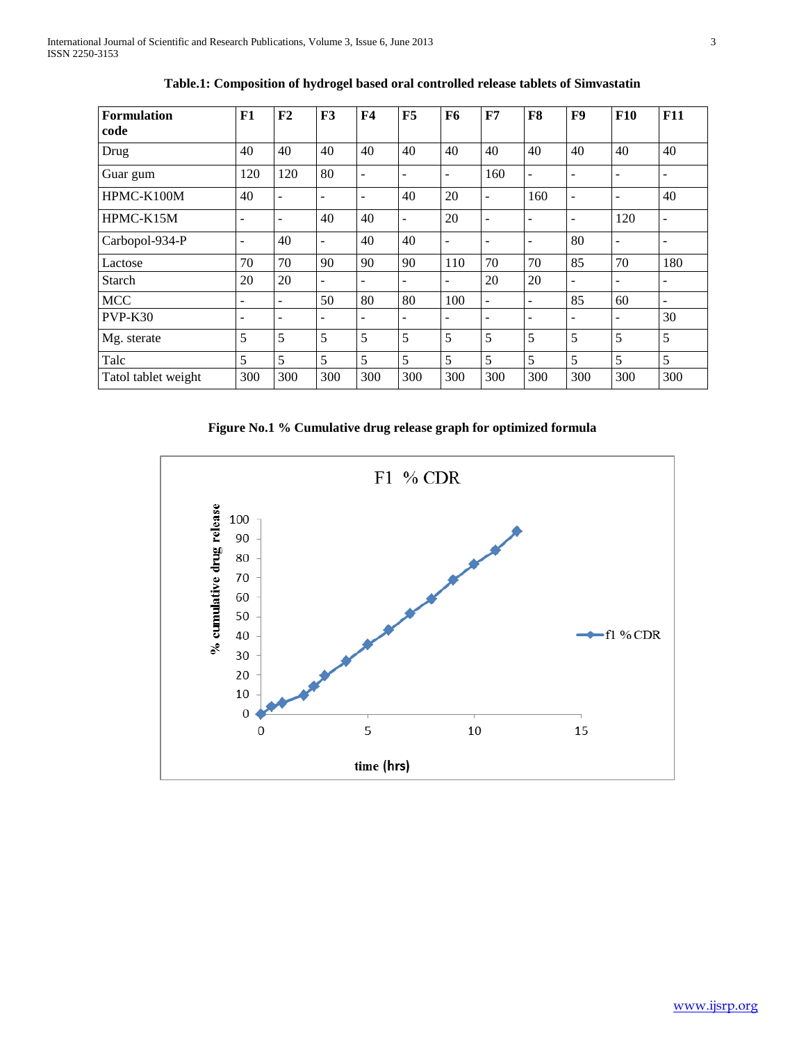| <b>Formulation</b><br>code | F1                       | F <sub>2</sub>           | F3                       | F <sub>4</sub>           | F5                       | F <sub>6</sub>           | F7                       | F8                | F9                       | <b>F10</b>                   | <b>F11</b>               |
|----------------------------|--------------------------|--------------------------|--------------------------|--------------------------|--------------------------|--------------------------|--------------------------|-------------------|--------------------------|------------------------------|--------------------------|
| Drug                       | 40                       | 40                       | 40                       | 40                       | 40                       | 40                       | 40                       | 40                | 40                       | 40                           | 40                       |
| Guar gum                   | 120                      | 120                      | 80                       | ۰                        | ۰                        | $\overline{\phantom{0}}$ | 160                      | ۰                 | ۰                        | $\qquad \qquad \blacksquare$ | ۰                        |
| HPMC-K100M                 | 40                       | $\overline{\phantom{a}}$ | ۰                        | $\overline{\phantom{0}}$ | 40                       | 20                       | -                        | 160               | $\qquad \qquad -$        | $\overline{\phantom{a}}$     | 40                       |
| HPMC-K15M                  | $\overline{\phantom{a}}$ | $\overline{\phantom{a}}$ | 40                       | 40                       | $\overline{\phantom{a}}$ | 20                       | $\overline{\phantom{m}}$ | ۰                 | $\overline{\phantom{a}}$ | 120                          | $\blacksquare$           |
| Carbopol-934-P             | $\overline{\phantom{a}}$ | 40                       | $\qquad \qquad -$        | 40                       | 40                       | $\overline{\phantom{a}}$ | $\qquad \qquad -$        | $\qquad \qquad -$ | 80                       | $\overline{\phantom{a}}$     | $\qquad \qquad -$        |
| Lactose                    | 70                       | 70                       | 90                       | 90                       | 90                       | 110                      | 70                       | 70                | 85                       | 70                           | 180                      |
| <b>Starch</b>              | 20                       | 20                       | $\overline{\phantom{a}}$ | ۰                        | $\qquad \qquad -$        | $\overline{\phantom{0}}$ | 20                       | 20                | $\qquad \qquad -$        | $\overline{\phantom{a}}$     | $\qquad \qquad -$        |
| <b>MCC</b>                 | $\overline{\phantom{a}}$ | ٠                        | 50                       | 80                       | 80                       | 100                      | -                        | ۰                 | 85                       | 60                           | $\overline{\phantom{a}}$ |
| PVP-K30                    | $\overline{\phantom{0}}$ | $\overline{\phantom{a}}$ | $\overline{\phantom{0}}$ | ۰                        | $\overline{a}$           | $\qquad \qquad$          | -                        | -                 | -                        | $\overline{\phantom{0}}$     | 30                       |
| Mg. sterate                | 5                        | 5                        | 5                        | 5                        | 5                        | 5                        | 5                        | 5                 | 5                        | 5                            | 5                        |
| Talc                       | 5                        | 5                        | 5                        | 5                        | 5                        | 5                        | 5                        | 5                 | 5                        | 5                            | 5                        |
| Tatol tablet weight        | 300                      | 300                      | 300                      | 300                      | 300                      | 300                      | 300                      | 300               | 300                      | 300                          | 300                      |

**Table.1: Composition of hydrogel based oral controlled release tablets of Simvastatin**

**Figure No.1 % Cumulative drug release graph for optimized formula**

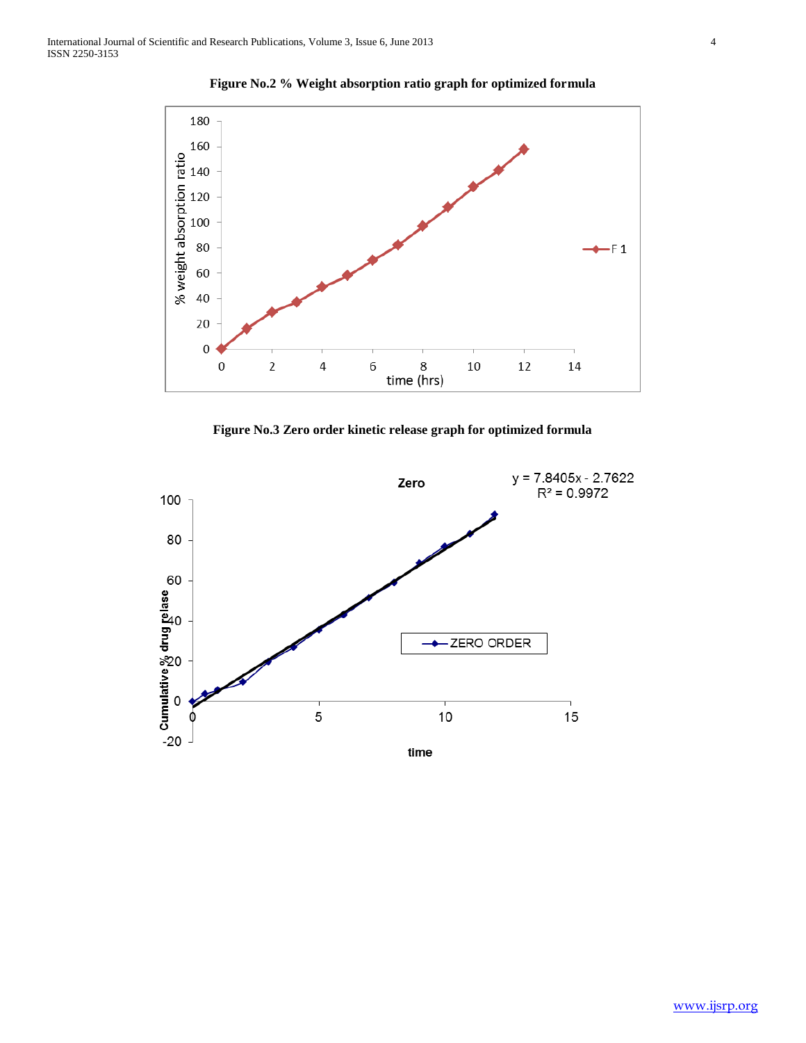

**Figure No.2 % Weight absorption ratio graph for optimized formula**

**Figure No.3 Zero order kinetic release graph for optimized formula**

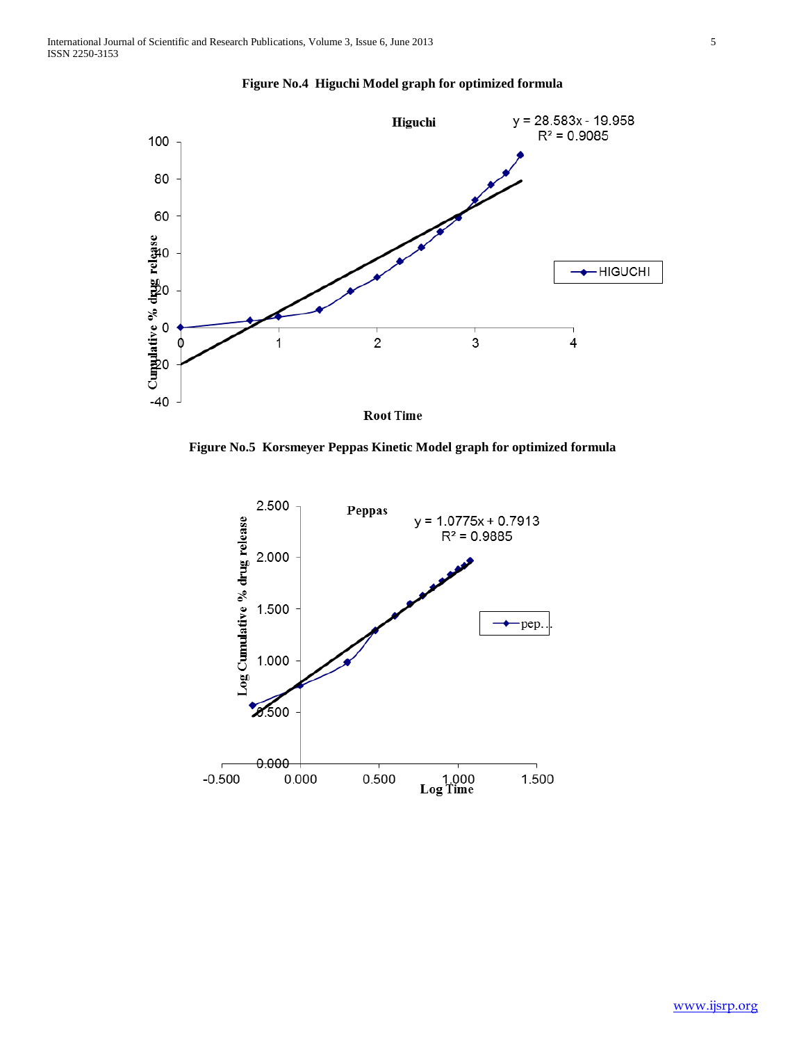

**Figure No.4 Higuchi Model graph for optimized formula**

**Figure No.5 Korsmeyer Peppas Kinetic Model graph for optimized formula**